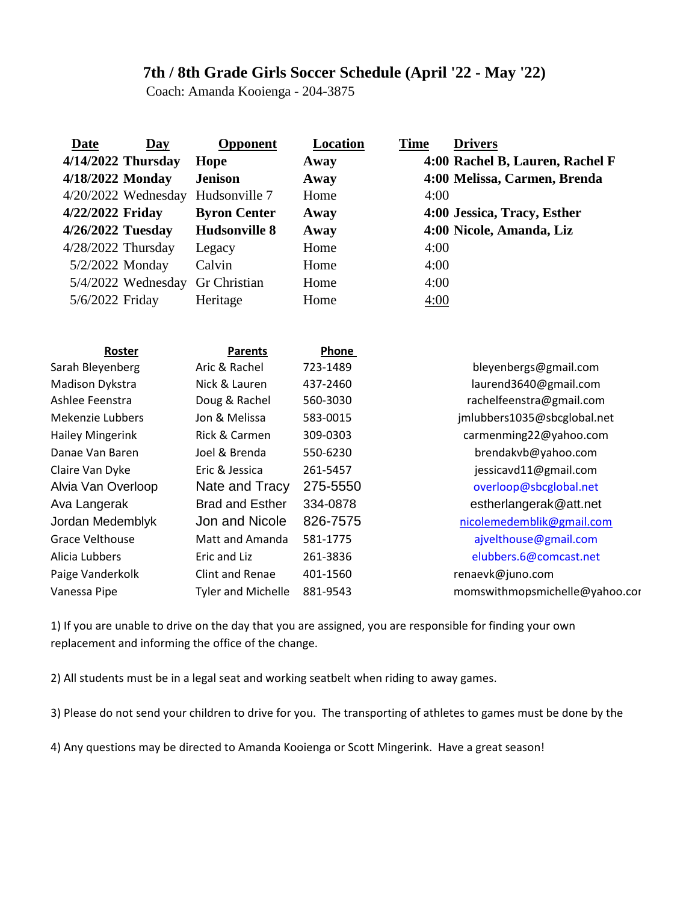## **7th / 8th Grade Girls Soccer Schedule (April '22 - May '22)**

Coach: Amanda Kooienga - 204-3875

| <b>Date</b><br>$\overline{\text{Day}}$<br>$4/14/2022$ Thursday | <b>Opponent</b><br>Hope   | <b>Location</b><br>Away | <b>Time</b><br><b>Drivers</b><br>4:00 Rachel B, Lauren, Rachel F |
|----------------------------------------------------------------|---------------------------|-------------------------|------------------------------------------------------------------|
| 4/18/2022 Monday                                               | <b>Jenison</b>            | Away                    | 4:00 Melissa, Carmen, Brenda                                     |
| $4/20/2022$ Wednesday                                          | Hudsonville 7             | Home                    | 4:00                                                             |
| 4/22/2022 Friday                                               | <b>Byron Center</b>       | Away                    | 4:00 Jessica, Tracy, Esther                                      |
| 4/26/2022 Tuesday                                              | <b>Hudsonville 8</b>      | Away                    | 4:00 Nicole, Amanda, Liz                                         |
| 4/28/2022 Thursday                                             | Legacy                    | Home                    | 4:00                                                             |
| 5/2/2022 Monday                                                | Calvin                    | Home                    | 4:00                                                             |
| 5/4/2022 Wednesday                                             | Gr Christian              | Home                    | 4:00                                                             |
| 5/6/2022 Friday                                                | Heritage                  | Home                    | 4:00                                                             |
|                                                                |                           |                         |                                                                  |
| Roster                                                         | <b>Parents</b>            | Phone                   |                                                                  |
| Sarah Bleyenberg                                               | Aric & Rachel             | 723-1489                | bleyenbergs@gmail.com                                            |
| Madison Dykstra                                                | Nick & Lauren             | 437-2460                | laurend3640@gmail.com                                            |
| Ashlee Feenstra                                                | Doug & Rachel             | 560-3030                | rachelfeenstra@gmail.com                                         |
| Mekenzie Lubbers                                               | Jon & Melissa             | 583-0015                | jmlubbers1035@sbcglobal.net                                      |
| <b>Hailey Mingerink</b>                                        | Rick & Carmen             | 309-0303                | carmenming22@yahoo.com                                           |
| Danae Van Baren                                                | Joel & Brenda             | 550-6230                | brendakvb@yahoo.com                                              |
| Claire Van Dyke                                                | Eric & Jessica            | 261-5457                | jessicavd11@gmail.com                                            |
| Alvia Van Overloop                                             | Nate and Tracy            | 275-5550                | overloop@sbcglobal.net                                           |
| Ava Langerak                                                   | <b>Brad and Esther</b>    | 334-0878                | estherlangerak@att.net                                           |
| Jordan Medemblyk                                               | Jon and Nicole            | 826-7575                | nicolemedemblik@gmail.com                                        |
| <b>Grace Velthouse</b>                                         | Matt and Amanda           | 581-1775                | ajvelthouse@gmail.com                                            |
| Alicia Lubbers                                                 | Eric and Liz              | 261-3836                | elubbers.6@comcast.net                                           |
| Paige Vanderkolk                                               | <b>Clint and Renae</b>    | 401-1560                | renaevk@juno.com                                                 |
| Vanessa Pipe                                                   | <b>Tyler and Michelle</b> | 881-9543                | momswithmopsmichelle@yahoo.cor                                   |
|                                                                |                           |                         |                                                                  |

1) If you are unable to drive on the day that you are assigned, you are responsible for finding your own replacement and informing the office of the change.

2) All students must be in a legal seat and working seatbelt when riding to away games.

3) Please do not send your children to drive for you. The transporting of athletes to games must be done by the

4) Any questions may be directed to Amanda Kooienga or Scott Mingerink. Have a great season!